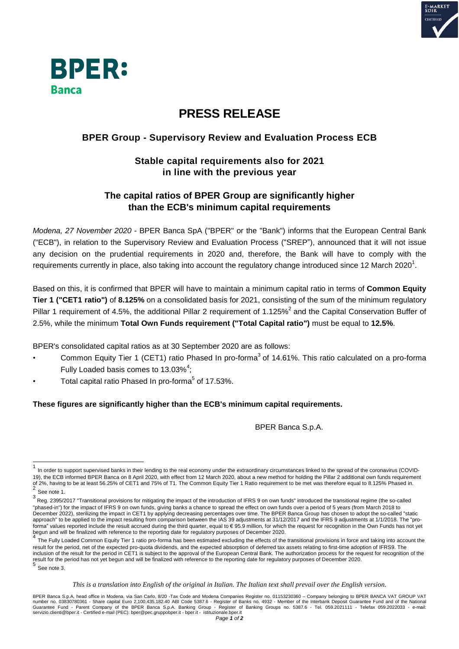



# **PRESS RELEASE**

## **BPER Group - Supervisory Review and Evaluation Process ECB**

### **Stable capital requirements also for 2021 in line with the previous year**

#### **The capital ratios of BPER Group are significantly higher than the ECB's minimum capital requirements**

*Modena, 27 November 2020 -* BPER Banca SpA ("BPER" or the "Bank") informs that the European Central Bank ("ECB"), in relation to the Supervisory Review and Evaluation Process ("SREP"), announced that it will not issue any decision on the prudential requirements in 2020 and, therefore, the Bank will have to comply with the requirements currently in place, also taking into account the regulatory change introduced since 12 March 2020<sup>1</sup>.

Based on this, it is confirmed that BPER will have to maintain a minimum capital ratio in terms of **Common Equity Tier 1 ("CET1 ratio")** of **8.125%** on a consolidated basis for 2021, consisting of the sum of the minimum regulatory Pillar 1 requirement of 4.5%, the additional Pillar 2 requirement of 1.125%<sup>2</sup> and the Capital Conservation Buffer of 2.5%, while the minimum **Total Own Funds requirement ("Total Capital ratio")** must be equal to **12.5%**.

BPER's consolidated capital ratios as at 30 September 2020 are as follows:

- Common Equity Tier 1 (CET1) ratio Phased In pro-forma<sup>3</sup> of 14.61%. This ratio calculated on a pro-forma Fully Loaded basis comes to  $13.03\%$ <sup>4</sup>;
- Total capital ratio Phased In pro-forma<sup>5</sup> of 17.53%.

#### **These figures are significantly higher than the ECB's minimum capital requirements.**

BPER Banca S.p.A.

 $\overline{a}$ 

<sup>1</sup> In order to support supervised banks in their lending to the real economy under the extraordinary circumstances linked to the spread of the coronavirus (COVID-19), the ECB informed BPER Banca on 8 April 2020, with effect from 12 March 2020, about a new method for holding the Pillar 2 additional own funds requirement of 2%, having to be at least 56.25% of CET1 and 75% of T1. The Common Equity Tier 1 Ratio requirement to be met was therefore equal to 8.125% Phased in.<br><sup>2</sup> See note 1.

<sup>&</sup>lt;sup>3</sup> Reg. 2395/2017 "Transitional provisions for mitigating the impact of the introduction of IFRS 9 on own funds" introduced the transitional regime (the so-called "phased-in") for the impact of IFRS 9 on own funds, giving banks a chance to spread the effect on own funds over a period of 5 years (from March 2018 to December 2022), sterilizing the impact in CET1 by applying decreasing percentages over time. The BPER Banca Group has chosen to adopt the so-called "static approach" to be applied to the impact resulting from comparison between the IAS 39 adjustments at 31/12/2017 and the IFRS 9 adjustments at 1/1/2018. The "proforma" values reported include the result accrued during the third quarter, equal to € 95.9 million, for which the request for recognition in the Own Funds has not yet

begun and will be finalized with reference to the reporting date for regulatory purposes of December 2020.<br><sup>4</sup> The Fully Loaded Common Equity Tier 1 ratio pro-forma has been estimated excluding the effects of the transitio result for the period, net of the expected pro-quota dividends, and the expected absorption of deferred tax assets relating to first-time adoption of IFRS9. The inclusion of the result for the period in CET1 is subject to the approval of the European Central Bank. The authorization process for the request for recognition of the result for the period has not yet begun and will be finalized with reference to the reporting date for regulatory purposes of December 2020.<br>5 See note 3.

This is a translation into English of the original in Italian. The Italian text shall prevail over the English version.

BPER Banca S.p.A, head office in Modena, via San Carlo, 8/20 -Tax Code and Modena Companies Register no. 01153230360 – Company belonging to BPER BANCA VAT GROUP VAT<br>number no. 03830780361 - Share capital Euro 2,100,435,182